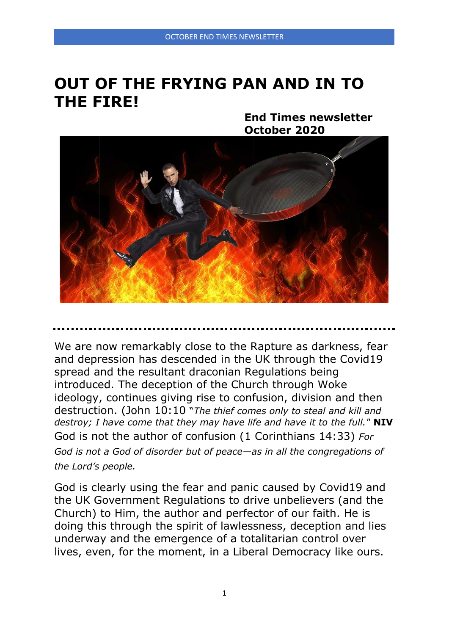# **OUT OF THE FRYING PAN AND IN TO THE FIRE!**

**End Times newsletter October 2020**



We are now remarkably close to the Rapture as darkness, fear and depression has descended in the UK through the Covid19 spread and the resultant draconian Regulations being introduced. The deception of the Church through Woke ideology, continues giving rise to confusion, division and then destruction. (John 10:10 "*The thief comes only to steal and kill and destroy; I have come that they may have life and have it to the full."* **NIV** God is not the author of confusion (1 Corinthians 14:33) *For God is not a God of disorder but of peace—as in all the congregations of the Lord's people.*

God is clearly using the fear and panic caused by Covid19 and the UK Government Regulations to drive unbelievers (and the Church) to Him, the author and perfector of our faith. He is doing this through the spirit of lawlessness, deception and lies underway and the emergence of a totalitarian control over lives, even, for the moment, in a Liberal Democracy like ours.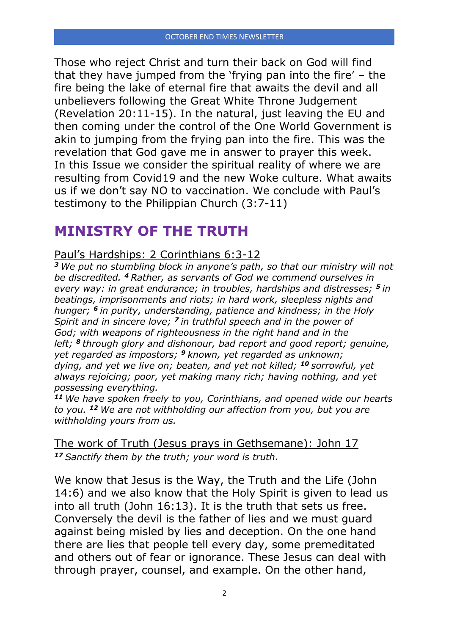Those who reject Christ and turn their back on God will find that they have jumped from the 'frying pan into the fire' – the fire being the lake of eternal fire that awaits the devil and all unbelievers following the Great White Throne Judgement (Revelation 20:11-15). In the natural, just leaving the EU and then coming under the control of the One World Government is akin to jumping from the frying pan into the fire. This was the revelation that God gave me in answer to prayer this week. In this Issue we consider the spiritual reality of where we are resulting from Covid19 and the new Woke culture. What awaits us if we don't say NO to vaccination. We conclude with Paul's testimony to the Philippian Church (3:7-11)

# **MINISTRY OF THE TRUTH**

# Paul's Hardships: 2 Corinthians 6:3-12

*<sup>3</sup> We put no stumbling block in anyone's path, so that our ministry will not be discredited. <sup>4</sup> Rather, as servants of God we commend ourselves in every way: in great endurance; in troubles, hardships and distresses; <sup>5</sup> in beatings, imprisonments and riots; in hard work, sleepless nights and hunger; <sup>6</sup> in purity, understanding, patience and kindness; in the Holy Spirit and in sincere love; <sup>7</sup> in truthful speech and in the power of God; with weapons of righteousness in the right hand and in the left; <sup>8</sup> through glory and dishonour, bad report and good report; genuine, yet regarded as impostors; <sup>9</sup> known, yet regarded as unknown; dying, and yet we live on; beaten, and yet not killed; <sup>10</sup> sorrowful, yet always rejoicing; poor, yet making many rich; having nothing, and yet possessing everything.*

*<sup>11</sup> We have spoken freely to you, Corinthians, and opened wide our hearts to you. <sup>12</sup> We are not withholding our affection from you, but you are withholding yours from us.*

The work of Truth (Jesus prays in Gethsemane): John 17 *<sup>17</sup> Sanctify them by the truth; your word is truth.*

We know that Jesus is the Way, the Truth and the Life (John 14:6) and we also know that the Holy Spirit is given to lead us into all truth (John 16:13). It is the truth that sets us free. Conversely the devil is the father of lies and we must guard against being misled by lies and deception. On the one hand there are lies that people tell every day, some premeditated and others out of fear or ignorance. These Jesus can deal with through prayer, counsel, and example. On the other hand,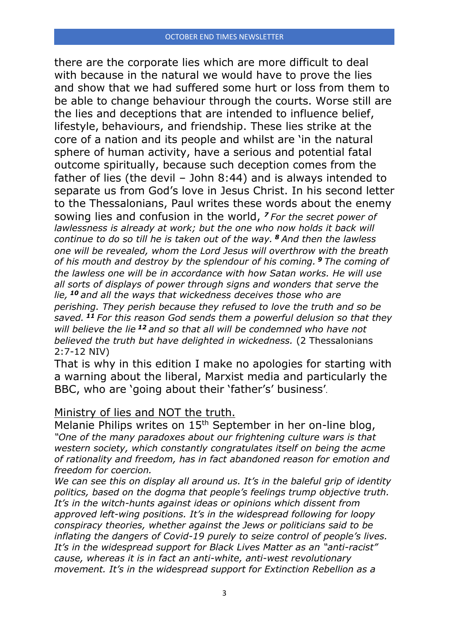there are the corporate lies which are more difficult to deal with because in the natural we would have to prove the lies and show that we had suffered some hurt or loss from them to be able to change behaviour through the courts. Worse still are the lies and deceptions that are intended to influence belief, lifestyle, behaviours, and friendship. These lies strike at the core of a nation and its people and whilst are 'in the natural sphere of human activity, have a serious and potential fatal outcome spiritually, because such deception comes from the father of lies (the devil – John 8:44) and is always intended to separate us from God's love in Jesus Christ. In his second letter to the Thessalonians, Paul writes these words about the enemy sowing lies and confusion in the world, *<sup>7</sup> For the secret power of lawlessness is already at work; but the one who now holds it back will continue to do so till he is taken out of the way. <sup>8</sup> And then the lawless one will be revealed, whom the Lord Jesus will overthrow with the breath of his mouth and destroy by the splendour of his coming. <sup>9</sup> The coming of the lawless one will be in accordance with how Satan works. He will use all sorts of displays of power through signs and wonders that serve the lie, <sup>10</sup> and all the ways that wickedness deceives those who are perishing. They perish because they refused to love the truth and so be saved. <sup>11</sup> For this reason God sends them a powerful delusion so that they will believe the lie <sup>12</sup> and so that all will be condemned who have not believed the truth but have delighted in wickedness.* (2 Thessalonians 2:7-12 NIV)

That is why in this edition I make no apologies for starting with a warning about the liberal, Marxist media and particularly the BBC, who are 'going about their 'father's' business'.

## Ministry of lies and NOT the truth.

Melanie Philips writes on 15<sup>th</sup> September in her on-line blog, *"One of the many paradoxes about our frightening culture wars is that western society, which constantly congratulates itself on being the acme of rationality and freedom, has in fact abandoned reason for emotion and freedom for coercion.*

*We can see this on display all around us. It's in the baleful grip of identity politics, based on the dogma that people's feelings trump objective truth. It's in the witch-hunts against ideas or opinions which dissent from approved left-wing positions. It's in the widespread following for loopy conspiracy theories, whether against the Jews or politicians said to be inflating the dangers of Covid-19 purely to seize control of people's lives. It's in the widespread support for Black Lives Matter as an "anti-racist" cause, whereas it is in fact an anti-white, anti-west revolutionary movement. It's in the widespread support for Extinction Rebellion as a*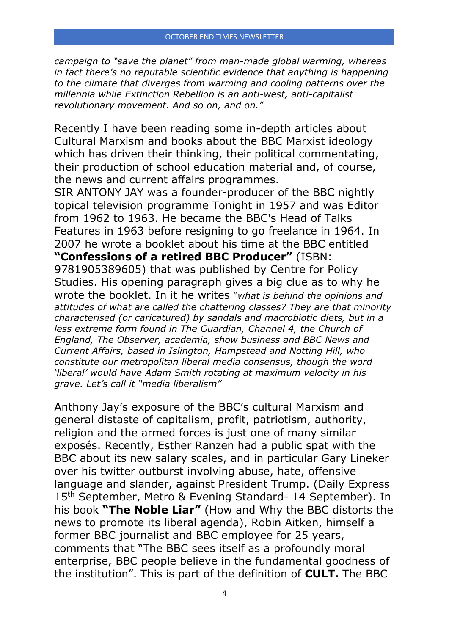*campaign to "save the planet" from man-made global warming, whereas in fact there's no reputable scientific evidence that anything is happening to the climate that diverges from warming and cooling patterns over the millennia while Extinction Rebellion is an anti-west, anti-capitalist revolutionary movement. And so on, and on."*

Recently I have been reading some in-depth articles about Cultural Marxism and books about the BBC Marxist ideology which has driven their thinking, their political commentating, their production of school education material and, of course, the news and current affairs programmes.

SIR ANTONY JAY was a founder-producer of the BBC nightly topical television programme Tonight in 1957 and was Editor from 1962 to 1963. He became the BBC's Head of Talks Features in 1963 before resigning to go freelance in 1964. In 2007 he wrote a booklet about his time at the BBC entitled **"Confessions of a retired BBC Producer"** (ISBN: 9781905389605) that was published by Centre for Policy Studies. His opening paragraph gives a big clue as to why he wrote the booklet. In it he writes *"what is behind the opinions and attitudes of what are called the chattering classes? They are that minority characterised (or caricatured) by sandals and macrobiotic diets, but in a less extreme form found in The Guardian, Channel 4, the Church of England, The Observer, academia, show business and BBC News and Current Affairs, based in Islington, Hampstead and Notting Hill, who constitute our metropolitan liberal media consensus, though the word 'liberal' would have Adam Smith rotating at maximum velocity in his grave. Let's call it "media liberalism"*

Anthony Jay's exposure of the BBC's cultural Marxism and general distaste of capitalism, profit, patriotism, authority, religion and the armed forces is just one of many similar exposés. Recently, Esther Ranzen had a public spat with the BBC about its new salary scales, and in particular Gary Lineker over his twitter outburst involving abuse, hate, offensive language and slander, against President Trump. (Daily Express 15<sup>th</sup> September, Metro & Evening Standard- 14 September). In his book **"The Noble Liar"** (How and Why the BBC distorts the news to promote its liberal agenda), Robin Aitken, himself a former BBC journalist and BBC employee for 25 years, comments that "The BBC sees itself as a profoundly moral enterprise, BBC people believe in the fundamental goodness of the institution". This is part of the definition of **CULT.** The BBC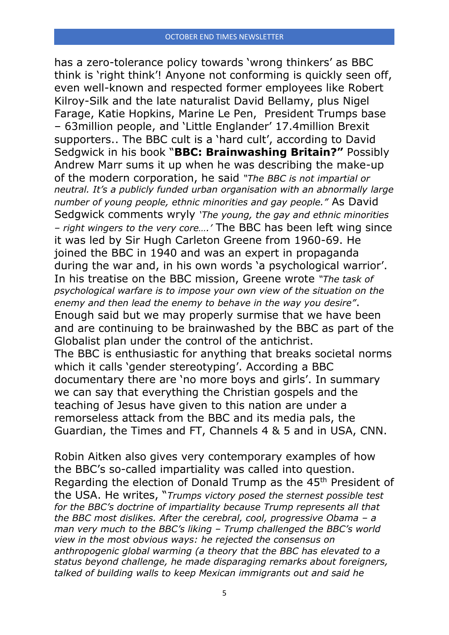has a zero-tolerance policy towards 'wrong thinkers' as BBC think is 'right think'! Anyone not conforming is quickly seen off, even well-known and respected former employees like Robert Kilroy-Silk and the late naturalist David Bellamy, plus Nigel Farage, Katie Hopkins, Marine Le Pen, President Trumps base – 63million people, and 'Little Englander' 17.4million Brexit supporters.. The BBC cult is a 'hard cult', according to David Sedgwick in his book "**BBC: Brainwashing Britain?"** Possibly Andrew Marr sums it up when he was describing the make-up of the modern corporation, he said *"The BBC is not impartial or neutral. It's a publicly funded urban organisation with an abnormally large number of young people, ethnic minorities and gay people."* As David Sedgwick comments wryly *'The young, the gay and ethnic minorities – right wingers to the very core….'* The BBC has been left wing since it was led by Sir Hugh Carleton Greene from 1960-69. He joined the BBC in 1940 and was an expert in propaganda during the war and, in his own words 'a psychological warrior'. In his treatise on the BBC mission, Greene wrote *"The task of psychological warfare is to impose your own view of the situation on the enemy and then lead the enemy to behave in the way you desire"*. Enough said but we may properly surmise that we have been and are continuing to be brainwashed by the BBC as part of the Globalist plan under the control of the antichrist. The BBC is enthusiastic for anything that breaks societal norms which it calls 'gender stereotyping'. According a BBC documentary there are 'no more boys and girls'. In summary we can say that everything the Christian gospels and the teaching of Jesus have given to this nation are under a remorseless attack from the BBC and its media pals, the Guardian, the Times and FT, Channels 4 & 5 and in USA, CNN.

Robin Aitken also gives very contemporary examples of how the BBC's so-called impartiality was called into question. Regarding the election of Donald Trump as the 45th President of the USA. He writes, "*Trumps victory posed the sternest possible test for the BBC's doctrine of impartiality because Trump represents all that the BBC most dislikes. After the cerebral, cool, progressive Obama – a man very much to the BBC's liking – Trump challenged the BBC's world view in the most obvious ways: he rejected the consensus on anthropogenic global warming (a theory that the BBC has elevated to a status beyond challenge, he made disparaging remarks about foreigners, talked of building walls to keep Mexican immigrants out and said he*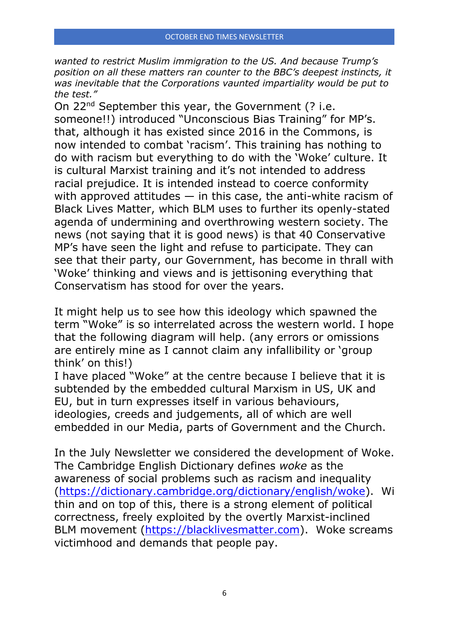*wanted to restrict Muslim immigration to the US. And because Trump's position on all these matters ran counter to the BBC's deepest instincts, it was inevitable that the Corporations vaunted impartiality would be put to the test."*

On 22<sup>nd</sup> September this year, the Government (? i.e. someone!!) introduced "Unconscious Bias Training" for MP's. that, although it has existed since 2016 in the Commons, is now intended to combat 'racism'. This training has nothing to do with racism but everything to do with the 'Woke' culture. It is cultural Marxist training and it's not intended to address racial prejudice. It is intended instead to coerce conformity with approved attitudes  $-$  in this case, the anti-white racism of Black Lives Matter, which BLM uses to further its openly-stated agenda of undermining and overthrowing western society. The news (not saying that it is good news) is that 40 Conservative MP's have seen the light and refuse to participate. They can see that their party, our Government, has become in thrall with 'Woke' thinking and views and is jettisoning everything that Conservatism has stood for over the years.

It might help us to see how this ideology which spawned the term "Woke" is so interrelated across the western world. I hope that the following diagram will help. (any errors or omissions are entirely mine as I cannot claim any infallibility or 'group think' on this!)

I have placed "Woke" at the centre because I believe that it is subtended by the embedded cultural Marxism in US, UK and EU, but in turn expresses itself in various behaviours, ideologies, creeds and judgements, all of which are well embedded in our Media, parts of Government and the Church.

In the July Newsletter we considered the development of Woke. The Cambridge English Dictionary defines *woke* as the awareness of social problems such as racism and inequality [\(https://dictionary.cambridge.org/dictionary/english/woke\)](https://vfjuk.us8.list-manage.com/track/click?u=748b2cc9dae1e2713467c199a&id=04d48e965a&e=c1ec588e45). Wi thin and on top of this, there is a strong element of political correctness, freely exploited by the overtly Marxist-inclined BLM movement [\(https://blacklivesmatter.com\)](https://vfjuk.us8.list-manage.com/track/click?u=748b2cc9dae1e2713467c199a&id=ce6af3b33f&e=c1ec588e45). Woke screams victimhood and demands that people pay.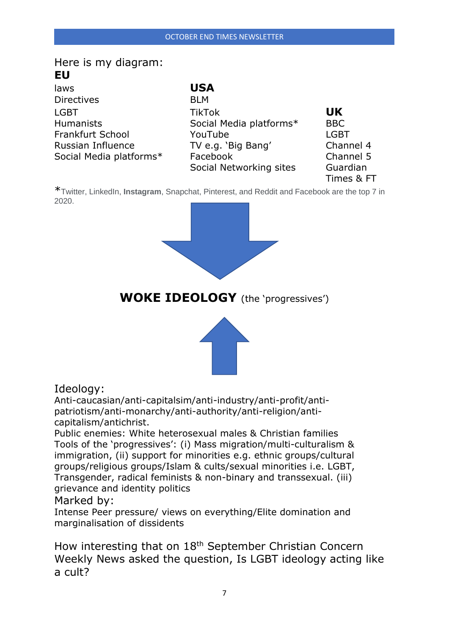# Here is my diagram: **EU** laws **USA** Directives BLM

| LGBT                    |  |
|-------------------------|--|
| Humanists               |  |
| Frankfurt School        |  |
| Russian Influence       |  |
| Social Media platforms* |  |
|                         |  |

LGBT TikTok **UK** Humanists Social Media platforms\* BBC **Frankfurt School YouTube LGBT** TV e.g. 'Big Bang' Channel 4 Facebook Channel 5 Social Networking sites Guardian

Times & FT

\*Twitter, LinkedIn, **Instagram**, Snapchat, Pinterest, and Reddit and Facebook are the top 7 in 2020.



**WOKE IDEOLOGY** (the 'progressives')



# Ideology:

Anti-caucasian/anti-capitalsim/anti-industry/anti-profit/antipatriotism/anti-monarchy/anti-authority/anti-religion/anticapitalism/antichrist.

Public enemies: White heterosexual males & Christian families Tools of the 'progressives': (i) Mass migration/multi-culturalism & immigration, (ii) support for minorities e.g. ethnic groups/cultural groups/religious groups/Islam & cults/sexual minorities i.e. LGBT, Transgender, radical feminists & non-binary and transsexual. (iii) grievance and identity politics

#### Marked by:

Intense Peer pressure/ views on everything/Elite domination and marginalisation of dissidents

How interesting that on 18<sup>th</sup> September Christian Concern Weekly News asked the question, Is LGBT ideology acting like a cult?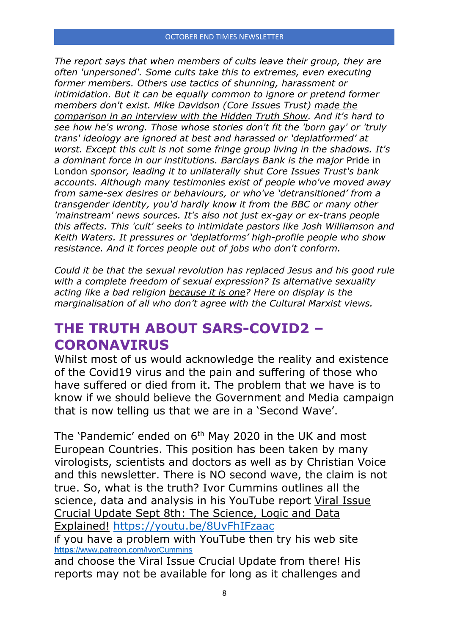*The report says that when members of cults leave their group, they are often 'unpersoned'. Some cults take this to extremes, even executing former members. Others use tactics of shunning, harassment or intimidation. But it can be equally common to ignore or pretend former members don't exist. Mike Davidson (Core Issues Trust) [made the](https://christianconcern.us2.list-manage.com/track/click?u=bed173cc9adfcad1e0e442a35&id=43e7fb9175&e=01dc2263e2)  [comparison in an interview with the Hidden Truth Show.](https://christianconcern.us2.list-manage.com/track/click?u=bed173cc9adfcad1e0e442a35&id=43e7fb9175&e=01dc2263e2) And it's hard to see how he's wrong. Those whose stories don't fit the 'born gay' or 'truly trans' ideology are ignored at best and harassed or 'deplatformed' at worst. Except this cult is not some fringe group living in the shadows. It's a dominant force in our institutions. Barclays Bank is the major* Pride in London *sponsor, leading it to unilaterally [shut Core Issues Trust's bank](https://christianconcern.us2.list-manage.com/track/click?u=bed173cc9adfcad1e0e442a35&id=4dd6b9b59d&e=01dc2263e2)  [accounts.](https://christianconcern.us2.list-manage.com/track/click?u=bed173cc9adfcad1e0e442a35&id=4dd6b9b59d&e=01dc2263e2) Although many testimonies exist of [people who've moved away](https://christianconcern.us2.list-manage.com/track/click?u=bed173cc9adfcad1e0e442a35&id=5b29b1e34d&e=01dc2263e2)  [from same-sex desires or behaviours](https://christianconcern.us2.list-manage.com/track/click?u=bed173cc9adfcad1e0e442a35&id=5b29b1e34d&e=01dc2263e2), or who've ['detransitioned' from a](https://christianconcern.us2.list-manage.com/track/click?u=bed173cc9adfcad1e0e442a35&id=d01a4cc606&e=01dc2263e2)  [transgender identity,](https://christianconcern.us2.list-manage.com/track/click?u=bed173cc9adfcad1e0e442a35&id=d01a4cc606&e=01dc2263e2) you'd hardly know it from the BBC or many other 'mainstream' news sources. It's also not just ex-gay or ex-trans people this affects. This 'cult' seeks to intimidate pastors like [Josh Williamson](https://christianconcern.us2.list-manage.com/track/click?u=bed173cc9adfcad1e0e442a35&id=8e03108043&e=01dc2263e2) and [Keith Waters](https://christianconcern.us2.list-manage.com/track/click?u=bed173cc9adfcad1e0e442a35&id=c56a6527f3&e=01dc2263e2). It pressures or 'deplatforms' high-profile people who show resistance. And it forces people out of jobs who don't conform.*

*Could it be that the sexual revolution has replaced Jesus and his good rule with a complete freedom of sexual expression? Is alternative sexuality acting like a bad religion [because it is one?](https://christianconcern.us2.list-manage.com/track/click?u=bed173cc9adfcad1e0e442a35&id=12a644d845&e=01dc2263e2) Here on display is the marginalisation of all who don't agree with the Cultural Marxist views.*

# **THE TRUTH ABOUT SARS-COVID2 – CORONAVIRUS**

Whilst most of us would acknowledge the reality and existence of the Covid19 virus and the pain and suffering of those who have suffered or died from it. The problem that we have is to know if we should believe the Government and Media campaign that is now telling us that we are in a 'Second Wave'.

The 'Pandemic' ended on 6<sup>th</sup> May 2020 in the UK and most European Countries. This position has been taken by many virologists, scientists and doctors as well as by Christian Voice and this newsletter. There is NO second wave, the claim is not true. So, what is the truth? Ivor Cummins outlines all the science, data and analysis in his YouTube report Viral Issue Crucial Update Sept 8th: The Science, Logic and Data Explained! <https://youtu.be/8UvFhIFzaac>

If you have a problem with YouTube then try his web site **https**[://www.patreon.com/IvorCummins](https://www.patreon.com/IvorCummins)

and choose the Viral Issue Crucial Update from there! His reports may not be available for long as it challenges and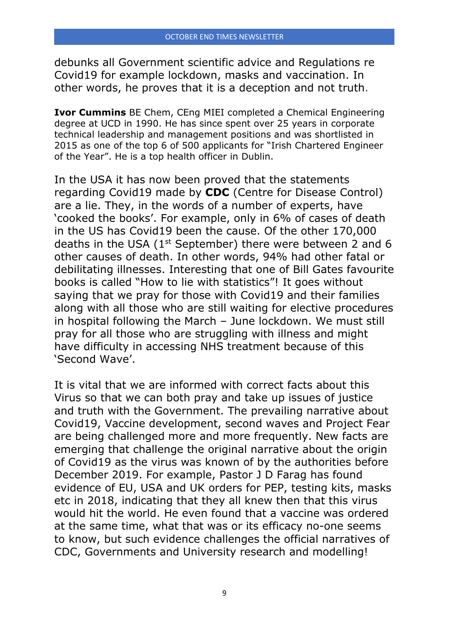debunks all Government scientific advice and Regulations re Covid19 for example lockdown, masks and vaccination. In other words, he proves that it is a deception and not truth.

**Ivor Cummins** BE Chem, CEng MIEI completed a Chemical Engineering degree at UCD in 1990. He has since spent over 25 years in corporate technical leadership and management positions and was shortlisted in 2015 as one of the top 6 of 500 applicants for "Irish Chartered Engineer of the Year". He is a top health officer in Dublin.

In the USA it has now been proved that the statements regarding Covid19 made by **CDC** (Centre for Disease Control) are a lie. They, in the words of a number of experts, have 'cooked the books'. For example, only in 6% of cases of death in the US has Covid19 been the cause. Of the other 170,000 deaths in the USA (1st September) there were between 2 and 6 other causes of death. In other words, 94% had other fatal or debilitating illnesses. Interesting that one of Bill Gates favourite books is called "How to lie with statistics"! It goes without saying that we pray for those with Covid19 and their families along with all those who are still waiting for elective procedures in hospital following the March – June lockdown. We must still pray for all those who are struggling with illness and might have difficulty in accessing NHS treatment because of this 'Second Wave'.

It is vital that we are informed with correct facts about this Virus so that we can both pray and take up issues of justice and truth with the Government. The prevailing narrative about Covid19, Vaccine development, second waves and Project Fear are being challenged more and more frequently. New facts are emerging that challenge the original narrative about the origin of Covid19 as the virus was known of by the authorities before December 2019. For example, Pastor J D Farag has found evidence of EU, USA and UK orders for PEP, testing kits, masks etc in 2018, indicating that they all knew then that this virus would hit the world. He even found that a vaccine was ordered at the same time, what that was or its efficacy no-one seems to know, but such evidence challenges the official narratives of CDC, Governments and University research and modelling!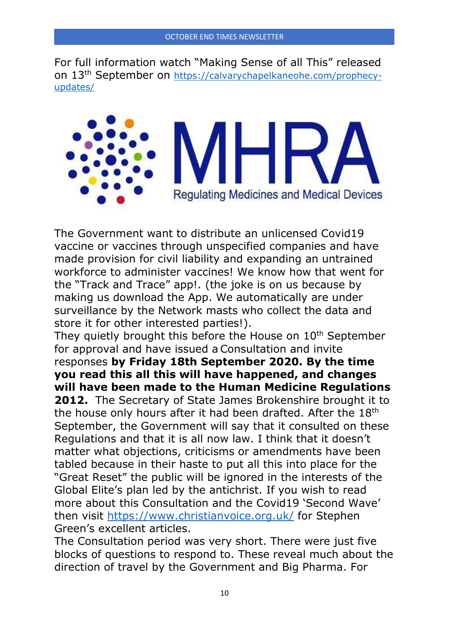For full information watch "Making Sense of all This" released on 13th September on [https://calvarychapelkaneohe.com/prophecy](https://calvarychapelkaneohe.com/prophecy-updates/)[updates/](https://calvarychapelkaneohe.com/prophecy-updates/)



The Government want to distribute an unlicensed Covid19 vaccine or vaccines through unspecified companies and have made provision for civil liability and expanding an untrained workforce to administer vaccines! We know how that went for the "Track and Trace" app!. (the joke is on us because by making us download the App. We automatically are under surveillance by the Network masts who collect the data and store it for other interested parties!).

They quietly brought this before the House on 10<sup>th</sup> September for approval and have issued aConsultation and invite responses **by Friday 18th September 2020. By the time you read this all this will have happened, and changes will have been made to the Human Medicine Regulations 2012.** The Secretary of State James Brokenshire brought it to the house only hours after it had been drafted. After the 18th September, the Government will say that it consulted on these Regulations and that it is all now law. I think that it doesn't matter what objections, criticisms or amendments have been tabled because in their haste to put all this into place for the "Great Reset" the public will be ignored in the interests of the Global Elite's plan led by the antichrist. If you wish to read more about this Consultation and the Covid19 'Second Wave' then visit<https://www.christianvoice.org.uk/> for Stephen Green's excellent articles.

The Consultation period was very short. There were just five blocks of questions to respond to. These reveal much about the direction of travel by the Government and Big Pharma. For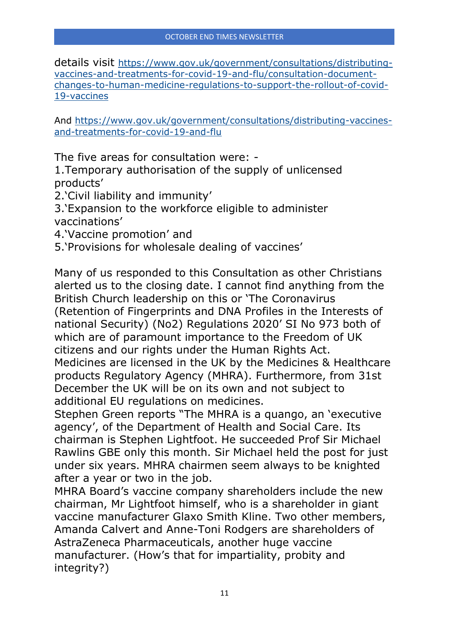details visit [https://www.gov.uk/government/consultations/distributing](https://www.gov.uk/government/consultations/distributing-vaccines-and-treatments-for-covid-19-and-flu/consultation-document-changes-to-human-medicine-regulations-to-support-the-rollout-of-covid-19-vaccines)[vaccines-and-treatments-for-covid-19-and-flu/consultation-document](https://www.gov.uk/government/consultations/distributing-vaccines-and-treatments-for-covid-19-and-flu/consultation-document-changes-to-human-medicine-regulations-to-support-the-rollout-of-covid-19-vaccines)[changes-to-human-medicine-regulations-to-support-the-rollout-of-covid-](https://www.gov.uk/government/consultations/distributing-vaccines-and-treatments-for-covid-19-and-flu/consultation-document-changes-to-human-medicine-regulations-to-support-the-rollout-of-covid-19-vaccines)[19-vaccines](https://www.gov.uk/government/consultations/distributing-vaccines-and-treatments-for-covid-19-and-flu/consultation-document-changes-to-human-medicine-regulations-to-support-the-rollout-of-covid-19-vaccines)

And [https://www.gov.uk/government/consultations/distributing-vaccines](https://www.gov.uk/government/consultations/distributing-vaccines-and-treatments-for-covid-19-and-flu)[and-treatments-for-covid-19-and-flu](https://www.gov.uk/government/consultations/distributing-vaccines-and-treatments-for-covid-19-and-flu)

The five areas for consultation were: -

1.Temporary authorisation of the supply of unlicensed products'

2.'Civil liability and immunity'

3.'Expansion to the workforce eligible to administer vaccinations'

- 4.'Vaccine promotion' and
- 5.'Provisions for wholesale dealing of vaccines'

Many of us responded to this Consultation as other Christians alerted us to the closing date. I cannot find anything from the British Church leadership on this or 'The Coronavirus (Retention of Fingerprints and DNA Profiles in the Interests of national Security) (No2) Regulations 2020' SI No 973 both of which are of paramount importance to the Freedom of UK citizens and our rights under the Human Rights Act. Medicines are licensed in the UK by the Medicines & Healthcare products Regulatory Agency (MHRA). Furthermore, from 31st December the UK will be on its own and not subject to additional EU regulations on medicines.

Stephen Green reports "The MHRA is a quango, an 'executive agency', of the Department of Health and Social Care. Its chairman is Stephen Lightfoot. He succeeded Prof Sir Michael Rawlins GBE only this month. Sir Michael held the post for just under six years. MHRA chairmen seem always to be knighted after a year or two in the job.

MHRA Board's vaccine company shareholders include the new chairman, Mr Lightfoot himself, who is a shareholder in giant vaccine manufacturer Glaxo Smith Kline. Two other members, Amanda Calvert and Anne-Toni Rodgers are shareholders of AstraZeneca Pharmaceuticals, another huge vaccine manufacturer. (How's that for impartiality, probity and integrity?)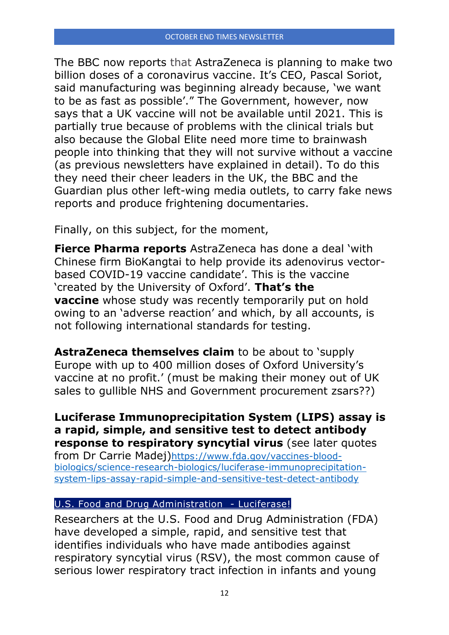[The BBC now reports](https://www.bbc.co.uk/news/business-52917118) that AstraZeneca is planning to make two billion doses of a coronavirus vaccine. It's CEO, Pascal Soriot, said manufacturing was beginning already because, 'we want to be as fast as possible'." The Government, however, now says that a UK vaccine will not be available until 2021. This is partially true because of problems with the clinical trials but also because the Global Elite need more time to brainwash people into thinking that they will not survive without a vaccine (as previous newsletters have explained in detail). To do this they need their cheer leaders in the UK, the BBC and the Guardian plus other left-wing media outlets, to carry fake news reports and produce frightening documentaries.

Finally, on this subject, for the moment,

**[Fierce Pharma reports](https://www.fiercepharma.com/manufacturing/astrazeneca-takes-covid-19-vaccine-to-china-biokangtai-deal-for-200m-dose-capacity-by)** AstraZeneca has done a deal 'with Chinese firm BioKangtai to help provide its adenovirus vectorbased COVID-19 vaccine candidate'. This is the vaccine 'created by the University of Oxford'. **[That's the](https://www.statnews.com/2020/09/08/astrazeneca-covid-19-vaccine-study-put-on-hold-due-to-suspected-adverse-reaction-in-participant-in-the-u-k/)  [vaccine](https://www.statnews.com/2020/09/08/astrazeneca-covid-19-vaccine-study-put-on-hold-due-to-suspected-adverse-reaction-in-participant-in-the-u-k/)** whose study was recently temporarily put on hold owing to an 'adverse reaction' and which, by all accounts, is not following international standards for testing.

**[AstraZeneca themselves claim](https://www.astrazeneca.com/media-centre/press-releases/2020/astrazeneca-to-supply-europe-with-up-to-400-million-doses-of-oxford-universitys-vaccine-at-no-profit.html)** to be about to 'supply Europe with up to 400 million doses of Oxford University's vaccine at no profit.' (must be making their money out of UK sales to gullible NHS and Government procurement zsars??)

**Luciferase Immunoprecipitation System (LIPS) assay is a rapid, simple, and sensitive test to detect antibody response to respiratory syncytial virus** (see later quotes from Dr Carrie Madej)[https://www.fda.gov/vaccines-blood](https://www.fda.gov/vaccines-blood-biologics/science-research-biologics/luciferase-immunoprecipitation-system-lips-assay-rapid-simple-and-sensitive-test-detect-antibody)[biologics/science-research-biologics/luciferase-immunoprecipitation](https://www.fda.gov/vaccines-blood-biologics/science-research-biologics/luciferase-immunoprecipitation-system-lips-assay-rapid-simple-and-sensitive-test-detect-antibody)[system-lips-assay-rapid-simple-and-sensitive-test-detect-antibody](https://www.fda.gov/vaccines-blood-biologics/science-research-biologics/luciferase-immunoprecipitation-system-lips-assay-rapid-simple-and-sensitive-test-detect-antibody)

#### [U.S. Food and Drug Administration -](https://www.fda.gov/) Luciferase!

Researchers at the U.S. Food and Drug Administration (FDA) have developed a simple, rapid, and sensitive test that identifies individuals who have made antibodies against respiratory syncytial virus (RSV), the most common cause of serious lower respiratory tract infection in infants and young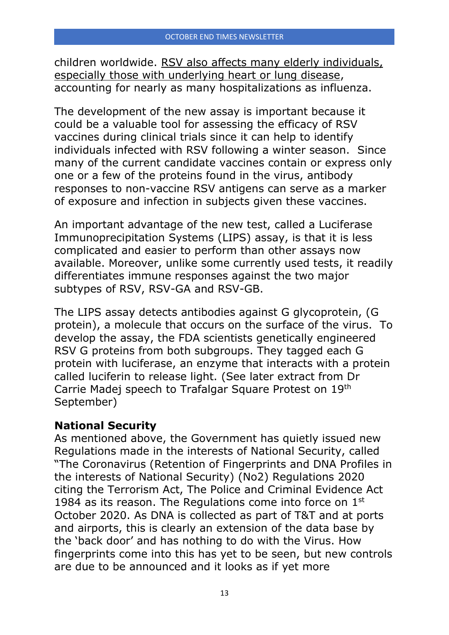children worldwide. RSV also affects many elderly individuals, especially those with underlying heart or lung disease, accounting for nearly as many hospitalizations as influenza.

The development of the new assay is important because it could be a valuable tool for assessing the efficacy of RSV vaccines during clinical trials since it can help to identify individuals infected with RSV following a winter season. Since many of the current candidate vaccines contain or express only one or a few of the proteins found in the virus, antibody responses to non-vaccine RSV antigens can serve as a marker of exposure and infection in subjects given these vaccines.

An important advantage of the new test, called a Luciferase Immunoprecipitation Systems (LIPS) assay, is that it is less complicated and easier to perform than other assays now available. Moreover, unlike some currently used tests, it readily differentiates immune responses against the two major subtypes of RSV, RSV-GA and RSV-GB.

The LIPS assay detects antibodies against G glycoprotein, (G protein), a molecule that occurs on the surface of the virus. To develop the assay, the FDA scientists genetically engineered RSV G proteins from both subgroups. They tagged each G protein with luciferase, an enzyme that interacts with a protein called luciferin to release light. (See later extract from Dr Carrie Madej speech to Trafalgar Square Protest on 19th September)

# **National Security**

As mentioned above, the Government has quietly issued new Regulations made in the interests of National Security, called "The Coronavirus (Retention of Fingerprints and DNA Profiles in the interests of National Security) (No2) Regulations 2020 citing the Terrorism Act, The Police and Criminal Evidence Act 1984 as its reason. The Regulations come into force on  $1<sup>st</sup>$ October 2020. As DNA is collected as part of T&T and at ports and airports, this is clearly an extension of the data base by the 'back door' and has nothing to do with the Virus. How fingerprints come into this has yet to be seen, but new controls are due to be announced and it looks as if yet more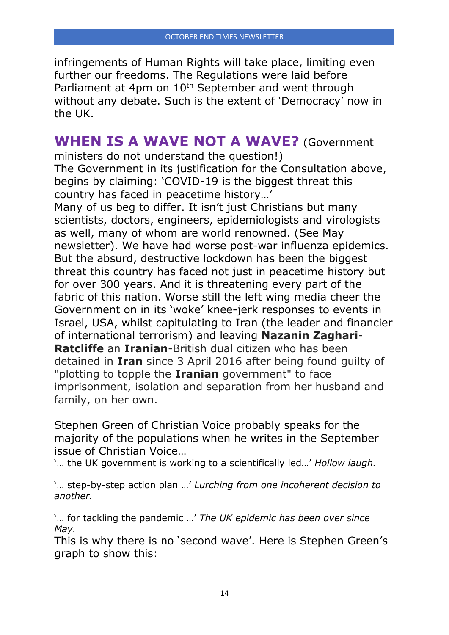infringements of Human Rights will take place, limiting even further our freedoms. The Regulations were laid before Parliament at 4pm on 10<sup>th</sup> September and went through without any debate. Such is the extent of 'Democracy' now in the UK.

# **WHEN IS A WAVE NOT A WAVE?** (Government

ministers do not understand the question!) [The](https://www.gov.uk/government/consultations/distributing-vaccines-and-treatments-for-covid-19-and-flu) Government in its justification for the Consultation above, begins by claiming: 'COVID-19 is the biggest threat this country has faced in peacetime history…'

Many of us beg to differ. It isn't just Christians but many scientists, doctors, engineers, epidemiologists and virologists as well, many of whom are world renowned. (See May newsletter). We have had worse post-war influenza epidemics. But the absurd, destructive lockdown has been the biggest threat this country has faced not just in peacetime history but for over 300 years. And it is threatening every part of the fabric of this nation. Worse still the left wing media cheer the Government on in its 'woke' knee-jerk responses to events in Israel, USA, whilst capitulating to Iran (the leader and financier of international terrorism) and leaving **Nazanin Zaghari**-**Ratcliffe** an **Iranian**-British dual citizen who has been detained in **Iran** since 3 April 2016 after being found guilty of "plotting to topple the **Iranian** government" to face imprisonment, isolation and separation from her husband and family, on her own.

Stephen Green of Christian Voice probably speaks for the majority of the populations when he writes in the September issue of Christian Voice…

'… the UK government is working to a scientifically led…' *Hollow laugh.*

'… step-by-step action plan …' *Lurching from one incoherent decision to another.*

'… for tackling the pandemic …' *The UK epidemic has been over since May.*

This is why there is no 'second wave'. Here is Stephen Green's graph to show this: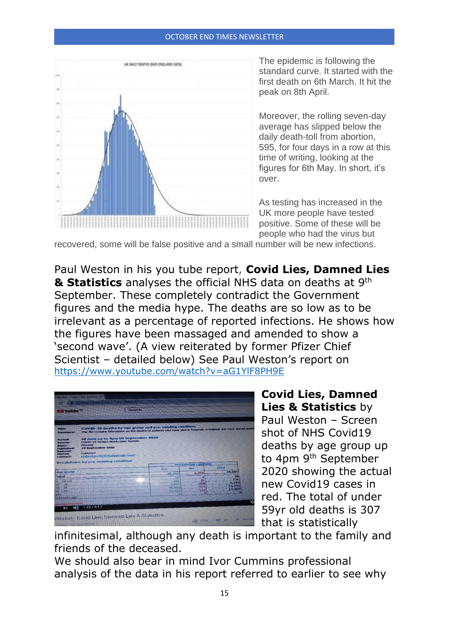#### OCTOBER END TIMES NEWSLETTER



The epidemic is following the standard curve. It started with the first death on 6th March. It hit the peak on 8th April.

Moreover, the rolling seven-day average has slipped below the daily death-toll from abortion, 595, for four days in a row at this time of writing, looking at the figures for 6th May. In short, it's over.

As testing has increased in the UK more people have tested positive. Some of these will be people who had the virus but

recovered, some will be false positive and a small number will be new infections.

Paul Weston in his you tube report, **Covid Lies, Damned Lies & Statistics** analyses the official NHS data on deaths at 9th September. These completely contradict the Government figures and the media hype. The deaths are so low as to be irrelevant as a percentage of reported infections. He shows how the figures have been massaged and amended to show a 'second wave'. (A view reiterated by former Pfizer Chief Scientist – detailed below) See Paul Weston's report on <https://www.youtube.com/watch?v=aG1YlF8PH9E>



**Covid Lies, Damned Lies & Statistics** by Paul Weston – Screen shot of NHS Covid19 deaths by age group up to 4pm 9th September 2020 showing the actual new Covid19 cases in red. The total of under 59yr old deaths is 307 that is statistically

infinitesimal, although any death is important to the family and friends of the deceased.

We should also bear in mind Ivor Cummins professional analysis of the data in his report referred to earlier to see why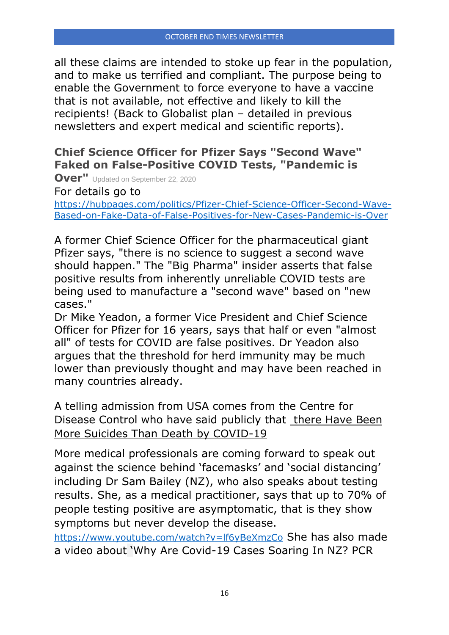all these claims are intended to stoke up fear in the population, and to make us terrified and compliant. The purpose being to enable the Government to force everyone to have a vaccine that is not available, not effective and likely to kill the recipients! (Back to Globalist plan – detailed in previous newsletters and expert medical and scientific reports).

# **Chief Science Officer for Pfizer Says "Second Wave" Faked on False-Positive COVID Tests, "Pandemic is**

**Over"** Updated on September 22, 2020

For details go to

[https://hubpages.com/politics/Pfizer-Chief-Science-Officer-Second-Wave-](https://hubpages.com/politics/Pfizer-Chief-Science-Officer-Second-Wave-Based-on-Fake-Data-of-False-Positives-for-New-Cases-Pandemic-is-Over)[Based-on-Fake-Data-of-False-Positives-for-New-Cases-Pandemic-is-Over](https://hubpages.com/politics/Pfizer-Chief-Science-Officer-Second-Wave-Based-on-Fake-Data-of-False-Positives-for-New-Cases-Pandemic-is-Over)

A former Chief Science Officer for the pharmaceutical giant Pfizer says, "there is no science to suggest a second wave should happen." The "Big Pharma" insider asserts that false positive results from inherently unreliable COVID tests are being used to manufacture a "second wave" based on "new cases."

[Dr Mike Yeadon,](https://www.crunchbase.com/person/michael-yeadon) a former Vice President and Chief Science Officer for Pfizer for 16 years, says that half or even "almost all" of tests for COVID are false positives. Dr Yeadon also argues that the threshold for herd immunity may be much lower than previously thought and may have been reached in many countries already.

A telling admission from USA comes from the Centre for Disease Control who have said publicly that [there Have Been](https://www.armstrongeconomics.com/world-news/corruption/cdc-said-there-have-been-more-suicides-than-death-by-covid-19/?amp)  [More Suicides Than Death by COVID-19](https://www.armstrongeconomics.com/world-news/corruption/cdc-said-there-have-been-more-suicides-than-death-by-covid-19/?amp)

More medical professionals are coming forward to speak out against the science behind 'facemasks' and 'social distancing' including Dr Sam Bailey (NZ), who also speaks about testing results. She, as a medical practitioner, says that up to 70% of people testing positive are asymptomatic, that is they show symptoms but never develop the disease.

<https://www.youtube.com/watch?v=lf6yBeXmzCo> She has also made a video about 'Why Are Covid-19 Cases Soaring In NZ? PCR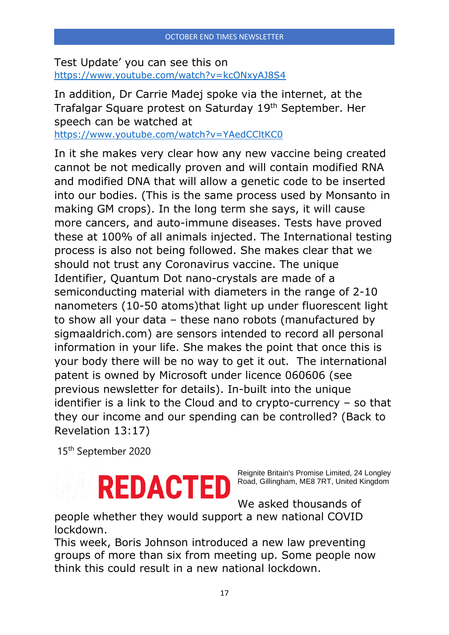Test Update' you can see this on <https://www.youtube.com/watch?v=kcONxyAJ8S4>

In addition, Dr Carrie Madej spoke via the internet, at the Trafalgar Square protest on Saturday 19<sup>th</sup> September. Her speech can be watched at <https://www.youtube.com/watch?v=YAedCCltKC0>

In it she makes very clear how any new vaccine being created cannot be not medically proven and will contain modified RNA and modified DNA that will allow a genetic code to be inserted into our bodies. (This is the same process used by Monsanto in making GM crops). In the long term she says, it will cause more cancers, and auto-immune diseases. Tests have proved these at 100% of all animals injected. The International testing process is also not being followed. She makes clear that we should not trust any Coronavirus vaccine. The unique Identifier, Quantum Dot nano-crystals are made of a semiconducting material with diameters in the range of 2-10 nanometers (10-50 atoms)that light up under fluorescent light to show all your data – these nano robots (manufactured by sigmaaldrich.com) are sensors intended to record all personal information in your life. She makes the point that once this is your body there will be no way to get it out. The international patent is owned by Microsoft under licence 060606 (see previous newsletter for details). In-built into the unique identifier is a link to the Cloud and to crypto-currency – so that they our income and our spending can be controlled? (Back to Revelation 13:17)

15th September 2020

# **REDACTED**

Reignite Britain's Promise Limited, 24 Longley Road, Gillingham, ME8 7RT, United Kingdom

We asked thousands of

people whether they would support a new national COVID lockdown.

This week, Boris Johnson introduced a new law preventing groups of more than six from meeting up. Some people now think this could result in a new national lockdown.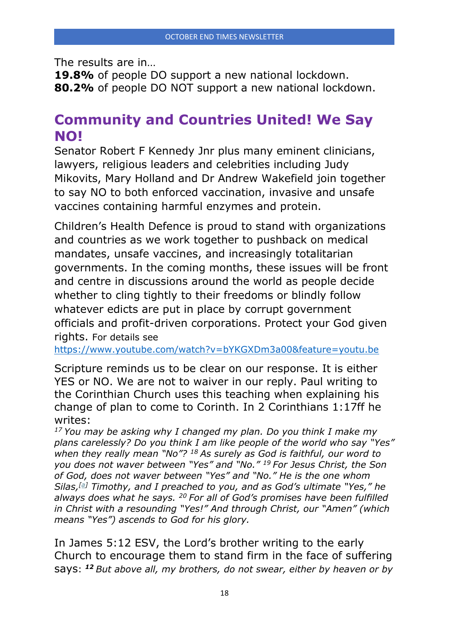The results are in…

**19.8%** of people DO support a new national lockdown. **80.2%** of people DO NOT support a new national lockdown.

# **Community and Countries United! We Say NO!**

Senator Robert F Kennedy Jnr plus many eminent clinicians, lawyers, religious leaders and celebrities including Judy Mikovits, Mary Holland and Dr Andrew Wakefield join together to say NO to both enforced vaccination, invasive and unsafe vaccines containing harmful enzymes and protein.

Children's Health Defence is proud to stand with organizations and countries as we work together to pushback on medical mandates, unsafe vaccines, and increasingly totalitarian governments. In the coming months, these issues will be front and centre in discussions around the world as people decide whether to cling tightly to their freedoms or blindly follow whatever edicts are put in place by corrupt government officials and profit-driven corporations. Protect your God given rights. For details see

<https://www.youtube.com/watch?v=bYKGXDm3a00&feature=youtu.be>

Scripture reminds us to be clear on our response. It is either YES or NO. We are not to waiver in our reply. Paul writing to the Corinthian Church uses this teaching when explaining his change of plan to come to Corinth. In 2 Corinthians 1:17ff he writes:

*<sup>17</sup> You may be asking why I changed my plan. Do you think I make my plans carelessly? Do you think I am like people of the world who say "Yes" when they really mean "No"? <sup>18</sup> As surely as God is faithful, our word to you does not waver between "Yes" and "No." <sup>19</sup> For Jesus Christ, the Son of God, does not waver between "Yes" and "No." He is the one whom Silas,[\[a\]](https://www.biblegateway.com/passage/?search=2%20Corinthians%201%3A17-20&version=NLT#fen-NLT-28780a) Timothy, and I preached to you, and as God's ultimate "Yes," he always does what he says. <sup>20</sup> For all of God's promises have been fulfilled in Christ with a resounding "Yes!" And through Christ, our "Amen" (which means "Yes") ascends to God for his glory.*

In James 5:12 ESV, the Lord's brother writing to the early Church to encourage them to stand firm in the face of suffering says: *<sup>12</sup> But above all, my brothers, do not swear, either by heaven or by*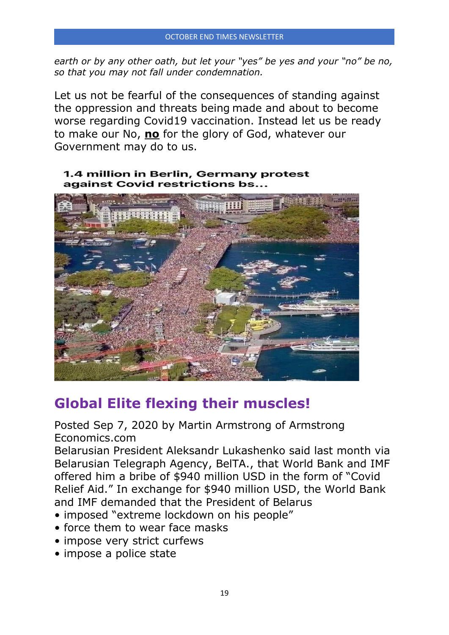*earth or by any other oath, but let your "yes" be yes and your "no" be no, so that you may not fall under condemnation.*

Let us not be fearful of the consequences of standing against the oppression and threats being made and about to become worse regarding Covid19 vaccination. Instead let us be ready to make our No, **no** for the glory of God, whatever our Government may do to us.

#### 1.4 million in Berlin, Germany protest against Covid restrictions bs...



# **Global Elite flexing their muscles!**

Posted Sep 7, 2020 by Martin Armstrong of Armstrong Economics.com

Belarusian President Aleksandr Lukashenko said last month via Belarusian Telegraph Agency, BelTA., that World Bank and IMF offered him a bribe of \$940 million USD in the form of "Covid Relief Aid." In exchange for \$940 million USD, the World Bank and IMF demanded that the President of Belarus

- imposed "extreme lockdown on his people"
- force them to wear face masks
- impose very strict curfews
- impose a police state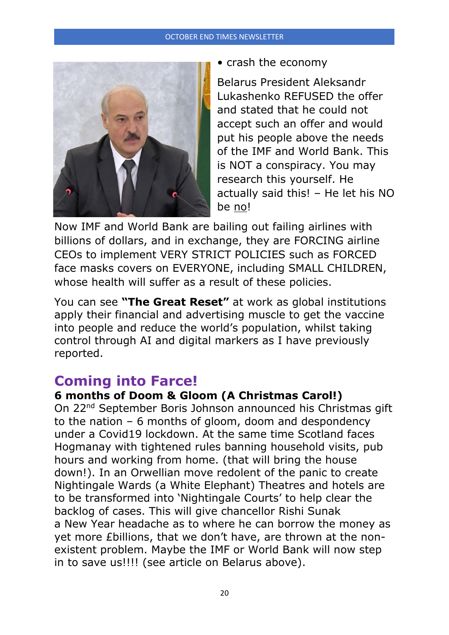#### OCTOBER END TIMES NEWSLETTER



• crash the economy

Belarus President Aleksandr Lukashenko REFUSED the offer and stated that he could not accept such an offer and would put his people above the needs of the IMF and World Bank. This is NOT a conspiracy. You may research this yourself. He actually said this! – He let his NO be no!

Now IMF and World Bank are bailing out failing airlines with billions of dollars, and in exchange, they are FORCING airline CEOs to implement VERY STRICT POLICIES such as FORCED face masks covers on EVERYONE, including SMALL CHILDREN, whose health will suffer as a result of these policies.

You can see **"The Great Reset"** at work as global institutions apply their financial and advertising muscle to get the vaccine into people and reduce the world's population, whilst taking control through AI and digital markers as I have previously reported.

# **Coming into Farce!**

## **6 months of Doom & Gloom (A Christmas Carol!)**

On 22nd September Boris Johnson announced his Christmas gift to the nation – 6 months of gloom, doom and despondency under a Covid19 lockdown. At the same time Scotland faces Hogmanay with tightened rules banning household visits, pub hours and working from home. (that will bring the house down!). In an Orwellian move redolent of the panic to create Nightingale Wards (a White Elephant) Theatres and hotels are to be transformed into 'Nightingale Courts' to help clear the backlog of cases. This will give chancellor Rishi Sunak a New Year headache as to where he can borrow the money as yet more £billions, that we don't have, are thrown at the nonexistent problem. Maybe the IMF or World Bank will now step in to save us!!!! (see article on Belarus above).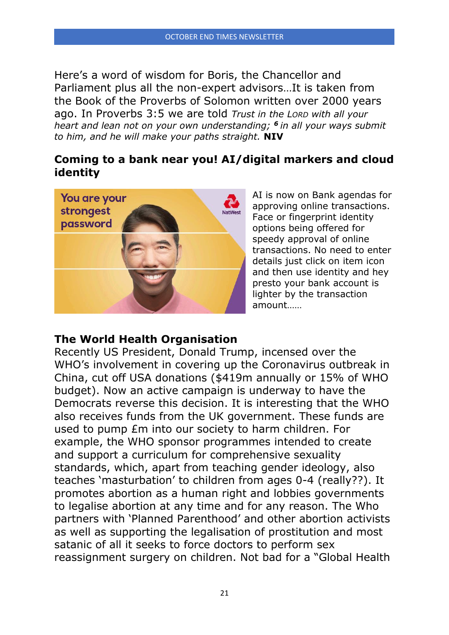Here's a word of wisdom for Boris, the Chancellor and Parliament plus all the non-expert advisors…It is taken from the Book of the Proverbs of Solomon written over 2000 years ago. In Proverbs 3:5 we are told *Trust in the LORD with all your heart and lean not on your own understanding; <sup>6</sup> in all your ways submit to him, and he will make your paths straight.* **NIV**

# **Coming to a bank near you! AI/digital markers and cloud identity**



AI is now on Bank agendas for approving online transactions. Face or fingerprint identity options being offered for speedy approval of online transactions. No need to enter details just click on item icon and then use identity and hey presto your bank account is lighter by the transaction amount……

## **The World Health Organisation**

Recently US President, Donald Trump, incensed over the WHO's involvement in covering up the Coronavirus outbreak in China, cut off USA donations (\$419m annually or 15% of WHO budget). Now an active campaign is underway to have the Democrats reverse this decision. It is interesting that the WHO also receives funds from the UK government. These funds are used to pump £m into our society to harm children. For example, the WHO sponsor programmes intended to create and support a curriculum for comprehensive sexuality standards, which, apart from teaching gender ideology, also teaches 'masturbation' to children from ages 0-4 (really??). It promotes abortion as a human right and lobbies governments to legalise abortion at any time and for any reason. The Who partners with 'Planned Parenthood' and other abortion activists as well as supporting the legalisation of prostitution and most satanic of all it seeks to force doctors to perform sex reassignment surgery on children. Not bad for a "Global Health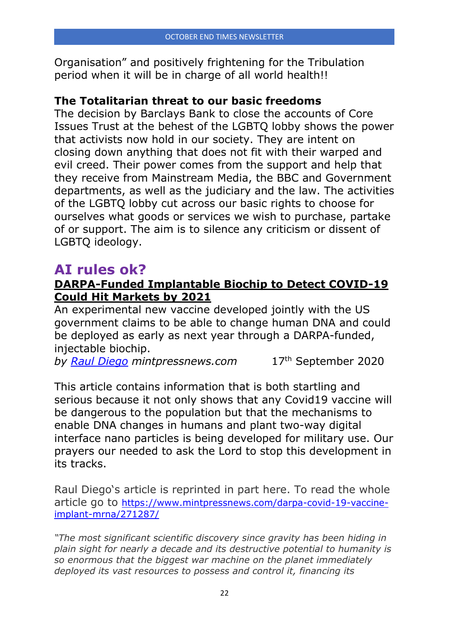Organisation" and positively frightening for the Tribulation period when it will be in charge of all world health!!

## **The Totalitarian threat to our basic freedoms**

The decision by Barclays Bank to close the accounts of Core Issues Trust at the behest of the LGBTQ lobby shows the power that activists now hold in our society. They are intent on closing down anything that does not fit with their warped and evil creed. Their power comes from the support and help that they receive from Mainstream Media, the BBC and Government departments, as well as the judiciary and the law. The activities of the LGBTQ lobby cut across our basic rights to choose for ourselves what goods or services we wish to purchase, partake of or support. The aim is to silence any criticism or dissent of LGBTQ ideology.

# **AI rules ok?**

# **[DARPA-Funded Implantable Biochip to Detect COVID-19](https://www.mintpressnews.com/darpa-covid-19-vaccine-implant-mrna/271287/)  [Could Hit Markets by 2021](https://www.mintpressnews.com/darpa-covid-19-vaccine-implant-mrna/271287/)**

An experimental new vaccine developed jointly with the US government claims to be able to change human DNA and could be deployed as early as next year through a DARPA-funded, injectable biochip.

*by [Raul Diego](https://www.mintpressnews.com/author/raul-diego/) mintpressnews.com* 17th September 2020

This article contains information that is both startling and serious because it not only shows that any Covid19 vaccine will be dangerous to the population but that the mechanisms to enable DNA changes in humans and plant two-way digital interface nano particles is being developed for military use. Our prayers our needed to ask the Lord to stop this development in its tracks.

Raul Diego's article is reprinted in part here. To read the whole article go to [https://www.mintpressnews.com/darpa-covid-19-vaccine](https://www.mintpressnews.com/darpa-covid-19-vaccine-implant-mrna/271287/)[implant-mrna/271287/](https://www.mintpressnews.com/darpa-covid-19-vaccine-implant-mrna/271287/)

*"The most significant scientific discovery since gravity has been hiding in plain sight for nearly a decade and its destructive potential to humanity is so enormous that the biggest war machine on the planet immediately deployed its vast resources to possess and control it, financing its*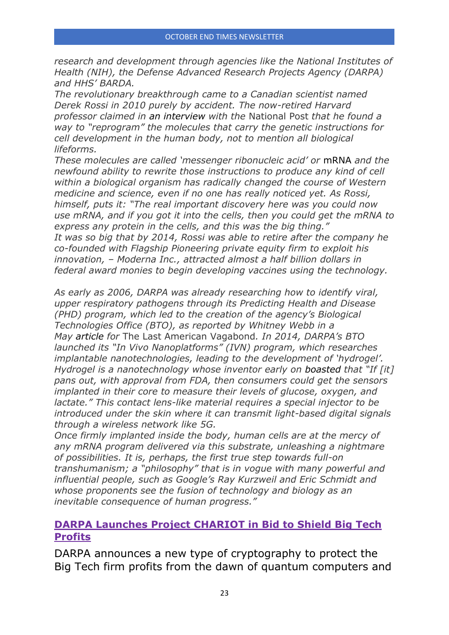*research and development through agencies like the National Institutes of Health (NIH), the Defense Advanced Research Projects Agency (DARPA) and HHS' BARDA.*

*The revolutionary breakthrough came to a Canadian scientist named Derek Rossi in 2010 purely by accident. The now-retired Harvard professor claimed in an [interview](https://nationalpost.com/news/canada/heroes-of-the-pandemic-meet-the-canadian-hockey-dad-behind-covid-19-vaccine-developer-moderna) with the* National Post *that he found a way to "reprogram" the molecules that carry the genetic instructions for cell development in the human body, not to mention all biological lifeforms.*

*These molecules are called 'messenger ribonucleic acid' or* [mRNA](https://www.genome.gov/genetics-glossary/messenger-rna) *and the newfound ability to rewrite those instructions to produce any kind of cell within a biological organism has radically changed the course of Western medicine and science, even if no one has really noticed yet. As Rossi, himself, puts it: "The real important discovery here was you could now use mRNA, and if you got it into the cells, then you could get the mRNA to express any protein in the cells, and this was the big thing." It was so big that by 2014, Rossi was able to retire after the company he co-founded with Flagship Pioneering private equity firm to exploit his innovation, – Moderna Inc., attracted almost a half billion dollars in federal award monies to begin developing vaccines using the technology.*

*As early as 2006, DARPA was already researching how to identify viral, upper respiratory pathogens through its Predicting Health and Disease (PHD) program, which led to the creation of the agency's Biological Technologies Office (BTO), as reported by Whitney Webb in a May [article](https://www.thelastamericanvagabond.com/coronavirus-gives-dangerous-boost-darpas-darkest-agenda/) for* The Last American Vagabond*. In 2014, DARPA's BTO launched its "In Vivo Nanoplatforms" (IVN) program, which researches implantable nanotechnologies, leading to the development of 'hydrogel'. Hydrogel is a nanotechnology whose inventor early on [boasted](https://leapsmag.com/3-futuristic-biotech-programs-the-u-s-government-is-funding-right-now/) that "If [it] pans out, with approval from FDA, then consumers could get the sensors implanted in their core to measure their levels of glucose, oxygen, and lactate." This contact lens-like material requires a special injector to be introduced under the skin where it can transmit light-based digital signals through a wireless network like 5G.*

*Once firmly implanted inside the body, human cells are at the mercy of any mRNA program delivered via this substrate, unleashing a nightmare of possibilities. It is, perhaps, the first true step towards full-on transhumanism; a "philosophy" that is in vogue with many powerful and influential people, such as Google's Ray Kurzweil and Eric Schmidt and whose proponents see the fusion of technology and biology as an inevitable consequence of human progress."*

## **[DARPA Launches Project CHARIOT in Bid to Shield Big Tech](https://www.mintpressnews.com/darpa-launches-project-chariot-bid-shield-big-tech-profits/270505/)  [Profits](https://www.mintpressnews.com/darpa-launches-project-chariot-bid-shield-big-tech-profits/270505/)**

DARPA announces a new type of cryptography to protect the Big Tech firm profits from the dawn of quantum computers and